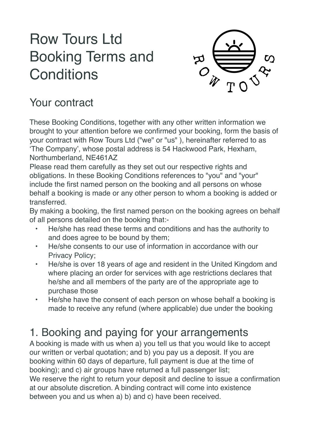# Row Tours Ltd Booking Terms and **Conditions**



## Your contract

These Booking Conditions, together with any other written information we brought to your attention before we confirmed your booking, form the basis of your contract with Row Tours Ltd ("we" or "us" ), hereinafter referred to as 'The Company', whose postal address is 54 Hackwood Park, Hexham, Northumberland, NE461AZ

Please read them carefully as they set out our respective rights and obligations. In these Booking Conditions references to "you" and "your" include the first named person on the booking and all persons on whose behalf a booking is made or any other person to whom a booking is added or transferred.

By making a booking, the first named person on the booking agrees on behalf of all persons detailed on the booking that:-

- He/she has read these terms and conditions and has the authority to and does agree to be bound by them;
- He/she consents to our use of information in accordance with our Privacy Policy;
- He/she is over 18 years of age and resident in the United Kingdom and where placing an order for services with age restrictions declares that he/she and all members of the party are of the appropriate age to purchase those
- He/she have the consent of each person on whose behalf a booking is made to receive any refund (where applicable) due under the booking

## 1. Booking and paying for your arrangements

A booking is made with us when a) you tell us that you would like to accept our written or verbal quotation; and b) you pay us a deposit. If you are booking within 60 days of departure, full payment is due at the time of booking); and c) air groups have returned a full passenger list; We reserve the right to return your deposit and decline to issue a confirmation at our absolute discretion. A binding contract will come into existence between you and us when a) b) and c) have been received.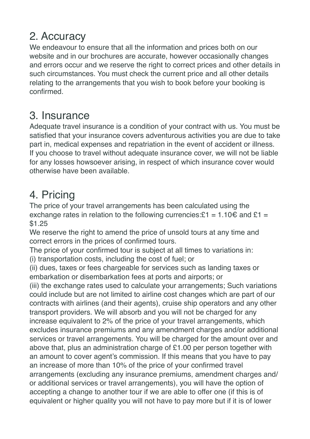## 2. Accuracy

We endeavour to ensure that all the information and prices both on our website and in our brochures are accurate, however occasionally changes and errors occur and we reserve the right to correct prices and other details in such circumstances. You must check the current price and all other details relating to the arrangements that you wish to book before your booking is confirmed.

## 3. Insurance

Adequate travel insurance is a condition of your contract with us. You must be satisfied that your insurance covers adventurous activities you are due to take part in, medical expenses and repatriation in the event of accident or illness. If you choose to travel without adequate insurance cover, we will not be liable for any losses howsoever arising, in respect of which insurance cover would otherwise have been available.

### 4. Pricing

The price of your travel arrangements has been calculated using the exchange rates in relation to the following currencies: $£1 = 1.10€$  and  $£1 =$ \$1.25

We reserve the right to amend the price of unsold tours at any time and correct errors in the prices of confirmed tours.

The price of your confirmed tour is subject at all times to variations in:

(i) transportation costs, including the cost of fuel; or

(ii) dues, taxes or fees chargeable for services such as landing taxes or embarkation or disembarkation fees at ports and airports; or

(iii) the exchange rates used to calculate your arrangements; Such variations could include but are not limited to airline cost changes which are part of our contracts with airlines (and their agents), cruise ship operators and any other transport providers. We will absorb and you will not be charged for any increase equivalent to 2% of the price of your travel arrangements, which excludes insurance premiums and any amendment charges and/or additional services or travel arrangements. You will be charged for the amount over and above that, plus an administration charge of £1.00 per person together with an amount to cover agent's commission. If this means that you have to pay an increase of more than 10% of the price of your confirmed travel arrangements (excluding any insurance premiums, amendment charges and/ or additional services or travel arrangements), you will have the option of accepting a change to another tour if we are able to offer one (if this is of equivalent or higher quality you will not have to pay more but if it is of lower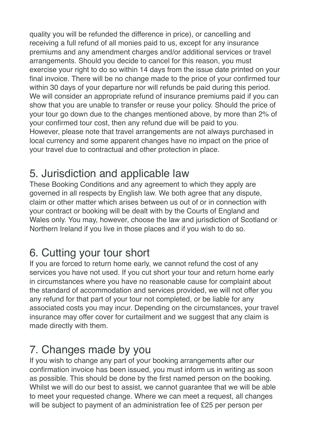quality you will be refunded the difference in price), or cancelling and receiving a full refund of all monies paid to us, except for any insurance premiums and any amendment charges and/or additional services or travel arrangements. Should you decide to cancel for this reason, you must exercise your right to do so within 14 days from the issue date printed on your final invoice. There will be no change made to the price of your confirmed tour within 30 days of your departure nor will refunds be paid during this period. We will consider an appropriate refund of insurance premiums paid if you can show that you are unable to transfer or reuse your policy. Should the price of your tour go down due to the changes mentioned above, by more than 2% of your confirmed tour cost, then any refund due will be paid to you. However, please note that travel arrangements are not always purchased in local currency and some apparent changes have no impact on the price of your travel due to contractual and other protection in place.

## 5. Jurisdiction and applicable law

These Booking Conditions and any agreement to which they apply are governed in all respects by English law. We both agree that any dispute, claim or other matter which arises between us out of or in connection with your contract or booking will be dealt with by the Courts of England and Wales only. You may, however, choose the law and jurisdiction of Scotland or Northern Ireland if you live in those places and if you wish to do so.

## 6. Cutting your tour short

If you are forced to return home early, we cannot refund the cost of any services you have not used. If you cut short your tour and return home early in circumstances where you have no reasonable cause for complaint about the standard of accommodation and services provided, we will not offer you any refund for that part of your tour not completed, or be liable for any associated costs you may incur. Depending on the circumstances, your travel insurance may offer cover for curtailment and we suggest that any claim is made directly with them.

## 7. Changes made by you

If you wish to change any part of your booking arrangements after our confirmation invoice has been issued, you must inform us in writing as soon as possible. This should be done by the first named person on the booking. Whilst we will do our best to assist, we cannot guarantee that we will be able to meet your requested change. Where we can meet a request, all changes will be subject to payment of an administration fee of £25 per person per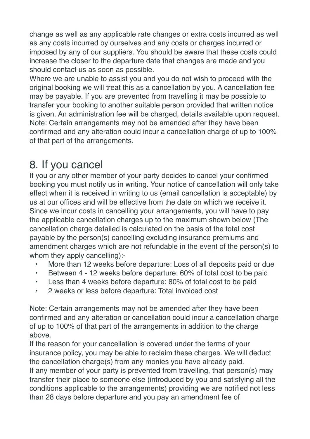change as well as any applicable rate changes or extra costs incurred as well as any costs incurred by ourselves and any costs or charges incurred or imposed by any of our suppliers. You should be aware that these costs could increase the closer to the departure date that changes are made and you should contact us as soon as possible.

Where we are unable to assist you and you do not wish to proceed with the original booking we will treat this as a cancellation by you. A cancellation fee may be payable. If you are prevented from travelling it may be possible to transfer your booking to another suitable person provided that written notice is given. An administration fee will be charged, details available upon request. Note: Certain arrangements may not be amended after they have been confirmed and any alteration could incur a cancellation charge of up to 100% of that part of the arrangements.

### 8. If you cancel

If you or any other member of your party decides to cancel your confirmed booking you must notify us in writing. Your notice of cancellation will only take effect when it is received in writing to us (email cancellation is acceptable) by us at our offices and will be effective from the date on which we receive it. Since we incur costs in cancelling your arrangements, you will have to pay the applicable cancellation charges up to the maximum shown below (The cancellation charge detailed is calculated on the basis of the total cost payable by the person(s) cancelling excluding insurance premiums and amendment charges which are not refundable in the event of the person(s) to whom they apply cancelling):-

- More than 12 weeks before departure: Loss of all deposits paid or due
- Between 4 12 weeks before departure: 60% of total cost to be paid
- Less than 4 weeks before departure: 80% of total cost to be paid
- 2 weeks or less before departure: Total invoiced cost

Note: Certain arrangements may not be amended after they have been confirmed and any alteration or cancellation could incur a cancellation charge of up to 100% of that part of the arrangements in addition to the charge above.

If the reason for your cancellation is covered under the terms of your insurance policy, you may be able to reclaim these charges. We will deduct the cancellation charge(s) from any monies you have already paid. If any member of your party is prevented from travelling, that person(s) may transfer their place to someone else (introduced by you and satisfying all the conditions applicable to the arrangements) providing we are notified not less than 28 days before departure and you pay an amendment fee of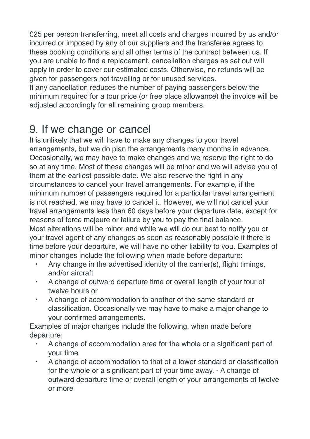£25 per person transferring, meet all costs and charges incurred by us and/or incurred or imposed by any of our suppliers and the transferee agrees to these booking conditions and all other terms of the contract between us. If you are unable to find a replacement, cancellation charges as set out will apply in order to cover our estimated costs. Otherwise, no refunds will be given for passengers not travelling or for unused services.

If any cancellation reduces the number of paying passengers below the minimum required for a tour price (or free place allowance) the invoice will be adjusted accordingly for all remaining group members.

#### 9. If we change or cancel

It is unlikely that we will have to make any changes to your travel arrangements, but we do plan the arrangements many months in advance. Occasionally, we may have to make changes and we reserve the right to do so at any time. Most of these changes will be minor and we will advise you of them at the earliest possible date. We also reserve the right in any circumstances to cancel your travel arrangements. For example, if the minimum number of passengers required for a particular travel arrangement is not reached, we may have to cancel it. However, we will not cancel your travel arrangements less than 60 days before your departure date, except for reasons of force majeure or failure by you to pay the final balance. Most alterations will be minor and while we will do our best to notify you or your travel agent of any changes as soon as reasonably possible if there is time before your departure, we will have no other liability to you. Examples of minor changes include the following when made before departure:

- Any change in the advertised identity of the carrier(s), flight timings, and/or aircraft
- A change of outward departure time or overall length of your tour of twelve hours or
- A change of accommodation to another of the same standard or classification. Occasionally we may have to make a major change to your confirmed arrangements.

Examples of major changes include the following, when made before departure;

- A change of accommodation area for the whole or a significant part of your time
- A change of accommodation to that of a lower standard or classification for the whole or a significant part of your time away. - A change of outward departure time or overall length of your arrangements of twelve or more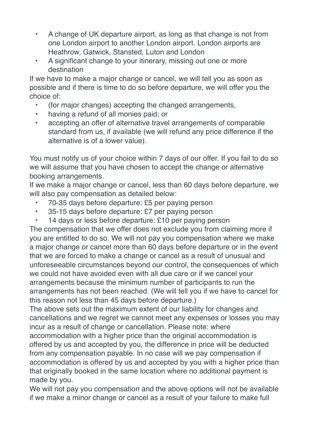- A change of UK departure airport, as long as that change is not from one London airport to another London airport. London airports are Heathrow, Gatwick, Stansted, Luton and London
- A significant change to your itinerary, missing out one or more destination

If we have to make a major change or cancel, we will tell you as soon as possible and if there is time to do so before departure, we will offer you the choice of:

- (for major changes) accepting the changed arrangements,
- having a refund of all monies paid; or
- accepting an offer of alternative travel arrangements of comparable standard from us, if available (we will refund any price difference if the alternative is of a lower value).

You must notify us of your choice within 7 days of our offer. If you fail to do so we will assume that you have chosen to accept the change or alternative booking arrangements.

If we make a major change or cancel, less than 60 days before departure, we will also pay compensation as detailed below:

- 70-35 days before departure: £5 per paying person
- 35-15 days before departure: £7 per paying person
- 14 days or less before departure: £10 per paying person

The compensation that we offer does not exclude you from claiming more if you are entitled to do so. We will not pay you compensation where we make a major change or cancel more than 60 days before departure or in the event that we are forced to make a change or cancel as a result of unusual and unforeseeable circumstances beyond our control, the consequences of which we could not have avoided even with all due care or if we cancel your arrangements because the minimum number of participants to run the arrangements has not been reached. (We will tell you if we have to cancel for this reason not less than 45 days before departure.)

The above sets out the maximum extent of our liability for changes and cancellations and we regret we cannot meet any expenses or losses you may incur as a result of change or cancellation. Please note: where accommodation with a higher price than the original accommodation is offered by us and accepted by you, the difference in price will be deducted

from any compensation payable. In no case will we pay compensation if accommodation is offered by us and accepted by you with a higher price than that originally booked in the same location where no additional payment is made by you.

We will not pay you compensation and the above options will not be available if we make a minor change or cancel as a result of your failure to make full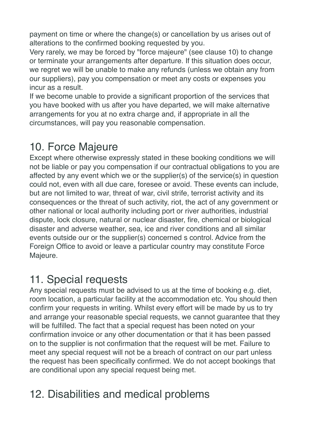payment on time or where the change(s) or cancellation by us arises out of alterations to the confirmed booking requested by you.

Very rarely, we may be forced by "force majeure" (see clause 10) to change or terminate your arrangements after departure. If this situation does occur, we regret we will be unable to make any refunds (unless we obtain any from our suppliers), pay you compensation or meet any costs or expenses you incur as a result.

If we become unable to provide a significant proportion of the services that you have booked with us after you have departed, we will make alternative arrangements for you at no extra charge and, if appropriate in all the circumstances, will pay you reasonable compensation.

## 10. Force Majeure

Except where otherwise expressly stated in these booking conditions we will not be liable or pay you compensation if our contractual obligations to you are affected by any event which we or the supplier(s) of the service(s) in question could not, even with all due care, foresee or avoid. These events can include, but are not limited to war, threat of war, civil strife, terrorist activity and its consequences or the threat of such activity, riot, the act of any government or other national or local authority including port or river authorities, industrial dispute, lock closure, natural or nuclear disaster, fire, chemical or biological disaster and adverse weather, sea, ice and river conditions and all similar events outside our or the supplier(s) concerned s control. Advice from the Foreign Office to avoid or leave a particular country may constitute Force Majeure.

## 11. Special requests

Any special requests must be advised to us at the time of booking e.g. diet, room location, a particular facility at the accommodation etc. You should then confirm your requests in writing. Whilst every effort will be made by us to try and arrange your reasonable special requests, we cannot guarantee that they will be fulfilled. The fact that a special request has been noted on your confirmation invoice or any other documentation or that it has been passed on to the supplier is not confirmation that the request will be met. Failure to meet any special request will not be a breach of contract on our part unless the request has been specifically confirmed. We do not accept bookings that are conditional upon any special request being met.

## 12. Disabilities and medical problems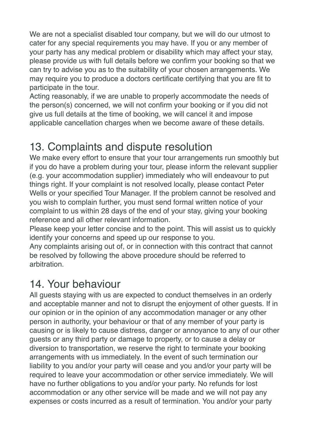We are not a specialist disabled tour company, but we will do our utmost to cater for any special requirements you may have. If you or any member of your party has any medical problem or disability which may affect your stay, please provide us with full details before we confirm your booking so that we can try to advise you as to the suitability of your chosen arrangements. We may require you to produce a doctors certificate certifying that you are fit to participate in the tour.

Acting reasonably, if we are unable to properly accommodate the needs of the person(s) concerned, we will not confirm your booking or if you did not give us full details at the time of booking, we will cancel it and impose applicable cancellation charges when we become aware of these details.

## 13. Complaints and dispute resolution

We make every effort to ensure that your tour arrangements run smoothly but if you do have a problem during your tour, please inform the relevant supplier (e.g. your accommodation supplier) immediately who will endeavour to put things right. If your complaint is not resolved locally, please contact Peter Wells or your specified Tour Manager. If the problem cannot be resolved and you wish to complain further, you must send formal written notice of your complaint to us within 28 days of the end of your stay, giving your booking reference and all other relevant information.

Please keep your letter concise and to the point. This will assist us to quickly identify your concerns and speed up our response to you.

Any complaints arising out of, or in connection with this contract that cannot be resolved by following the above procedure should be referred to arbitration.

### 14. Your behaviour

All guests staying with us are expected to conduct themselves in an orderly and acceptable manner and not to disrupt the enjoyment of other guests. If in our opinion or in the opinion of any accommodation manager or any other person in authority, your behaviour or that of any member of your party is causing or is likely to cause distress, danger or annoyance to any of our other guests or any third party or damage to property, or to cause a delay or diversion to transportation, we reserve the right to terminate your booking arrangements with us immediately. In the event of such termination our liability to you and/or your party will cease and you and/or your party will be required to leave your accommodation or other service immediately. We will have no further obligations to you and/or your party. No refunds for lost accommodation or any other service will be made and we will not pay any expenses or costs incurred as a result of termination. You and/or your party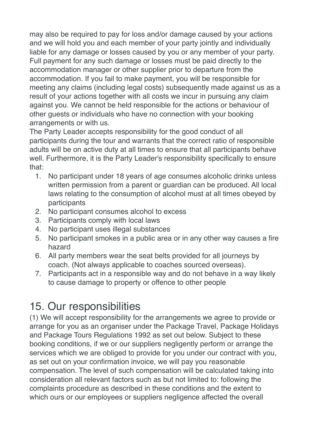may also be required to pay for loss and/or damage caused by your actions and we will hold you and each member of your party jointly and individually liable for any damage or losses caused by you or any member of your party. Full payment for any such damage or losses must be paid directly to the accommodation manager or other supplier prior to departure from the accommodation. If you fail to make payment, you will be responsible for meeting any claims (including legal costs) subsequently made against us as a result of your actions together with all costs we incur in pursuing any claim against you. We cannot be held responsible for the actions or behaviour of other guests or individuals who have no connection with your booking arrangements or with us.

The Party Leader accepts responsibility for the good conduct of all participants during the tour and warrants that the correct ratio of responsible adults will be on active duty at all times to ensure that all participants behave well. Furthermore, it is the Party Leader's responsibility specifically to ensure that:

- 1. No participant under 18 years of age consumes alcoholic drinks unless written permission from a parent or guardian can be produced. All local laws relating to the consumption of alcohol must at all times obeyed by participants
- 2. No participant consumes alcohol to excess
- 3. Participants comply with local laws
- 4. No participant uses illegal substances
- 5. No participant smokes in a public area or in any other way causes a fire hazard
- 6. All party members wear the seat belts provided for all journeys by coach. (Not always applicable to coaches sourced overseas).
- 7. Participants act in a responsible way and do not behave in a way likely to cause damage to property or offence to other people

## 15. Our responsibilities

(1) We will accept responsibility for the arrangements we agree to provide or arrange for you as an organiser under the Package Travel, Package Holidays and Package Tours Regulations 1992 as set out below. Subject to these booking conditions, if we or our suppliers negligently perform or arrange the services which we are obliged to provide for you under our contract with you, as set out on your confirmation invoice, we will pay you reasonable compensation. The level of such compensation will be calculated taking into consideration all relevant factors such as but not limited to: following the complaints procedure as described in these conditions and the extent to which ours or our employees or suppliers negligence affected the overall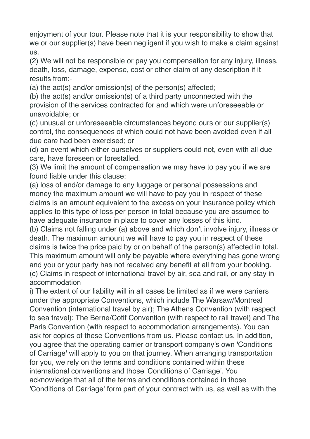enjoyment of your tour. Please note that it is your responsibility to show that we or our supplier(s) have been negligent if you wish to make a claim against us.

(2) We will not be responsible or pay you compensation for any injury, illness, death, loss, damage, expense, cost or other claim of any description if it results from:-

(a) the act(s) and/or omission(s) of the person(s) affected;

(b) the act(s) and/or omission(s) of a third party unconnected with the provision of the services contracted for and which were unforeseeable or unavoidable; or

(c) unusual or unforeseeable circumstances beyond ours or our supplier(s) control, the consequences of which could not have been avoided even if all due care had been exercised; or

(d) an event which either ourselves or suppliers could not, even with all due care, have foreseen or forestalled.

(3) We limit the amount of compensation we may have to pay you if we are found liable under this clause:

(a) loss of and/or damage to any luggage or personal possessions and money the maximum amount we will have to pay you in respect of these claims is an amount equivalent to the excess on your insurance policy which applies to this type of loss per person in total because you are assumed to have adequate insurance in place to cover any losses of this kind.

(b) Claims not falling under (a) above and which don't involve injury, illness or death. The maximum amount we will have to pay you in respect of these claims is twice the price paid by or on behalf of the person(s) affected in total. This maximum amount will only be payable where everything has gone wrong and you or your party has not received any benefit at all from your booking. (c) Claims in respect of international travel by air, sea and rail, or any stay in accommodation

i) The extent of our liability will in all cases be limited as if we were carriers under the appropriate Conventions, which include The Warsaw/Montreal Convention (international travel by air); The Athens Convention (with respect to sea travel); The Berne/Cotif Convention (with respect to rail travel) and The Paris Convention (with respect to accommodation arrangements). You can ask for copies of these Conventions from us. Please contact us. In addition, you agree that the operating carrier or transport company's own 'Conditions of Carriage' will apply to you on that journey. When arranging transportation for you, we rely on the terms and conditions contained within these international conventions and those 'Conditions of Carriage'. You acknowledge that all of the terms and conditions contained in those 'Conditions of Carriage' form part of your contract with us, as well as with the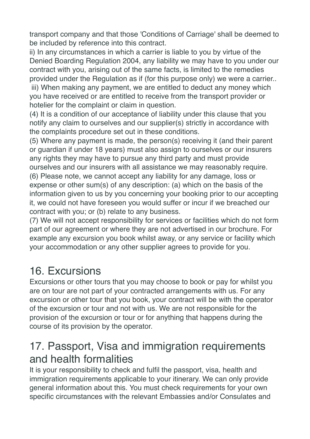transport company and that those 'Conditions of Carriage' shall be deemed to be included by reference into this contract.

ii) In any circumstances in which a carrier is liable to you by virtue of the Denied Boarding Regulation 2004, any liability we may have to you under our contract with you, arising out of the same facts, is limited to the remedies provided under the Regulation as if (for this purpose only) we were a carrier..

iii) When making any payment, we are entitled to deduct any money which you have received or are entitled to receive from the transport provider or hotelier for the complaint or claim in question.

(4) It is a condition of our acceptance of liability under this clause that you notify any claim to ourselves and our supplier(s) strictly in accordance with the complaints procedure set out in these conditions.

(5) Where any payment is made, the person(s) receiving it (and their parent or guardian if under 18 years) must also assign to ourselves or our insurers any rights they may have to pursue any third party and must provide ourselves and our insurers with all assistance we may reasonably require. (6) Please note, we cannot accept any liability for any damage, loss or

expense or other sum(s) of any description: (a) which on the basis of the information given to us by you concerning your booking prior to our accepting it, we could not have foreseen you would suffer or incur if we breached our contract with you; or (b) relate to any business.

(7) We will not accept responsibility for services or facilities which do not form part of our agreement or where they are not advertised in our brochure. For example any excursion you book whilst away, or any service or facility which your accommodation or any other supplier agrees to provide for you.

## 16. Excursions

Excursions or other tours that you may choose to book or pay for whilst you are on tour are not part of your contracted arrangements with us. For any excursion or other tour that you book, your contract will be with the operator of the excursion or tour and not with us. We are not responsible for the provision of the excursion or tour or for anything that happens during the course of its provision by the operator.

## 17. Passport, Visa and immigration requirements and health formalities

It is your responsibility to check and fulfil the passport, visa, health and immigration requirements applicable to your itinerary. We can only provide general information about this. You must check requirements for your own specific circumstances with the relevant Embassies and/or Consulates and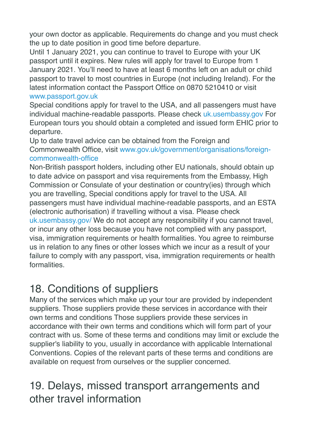your own doctor as applicable. Requirements do change and you must check the up to date position in good time before departure.

Until 1 January 2021, you can continue to travel to Europe with your UK passport until it expires. New rules will apply for travel to Europe from 1 January 2021. You'll need to have at least 6 months left on an adult or child passport to travel to most countries in Europe (not including Ireland). For the latest information contact the Passport Office on 0870 5210410 or visit [www.passport.gov.uk](https://www.gov.uk/browse/abroad/passports/)

#### Special conditions apply for travel to the USA, and all passengers must have individual machine-readable passports. Please check [uk.usembassy.gov](https://uk.usembassy.gov/) For European tours you should obtain a completed and issued form EHIC prior to departure.

Up to date travel advice can be obtained from the Foreign and Commonwealth Office, visit [www.gov.uk/government/organisations/foreign](https://www.gov.uk/government/organisations/foreign-commonwealth-office)[commonwealth-office](https://www.gov.uk/government/organisations/foreign-commonwealth-office)

Non-British passport holders, including other EU nationals, should obtain up to date advice on passport and visa requirements from the Embassy, High Commission or Consulate of your destination or country(ies) through which you are travelling, Special conditions apply for travel to the USA. All passengers must have individual machine-readable passports, and an ESTA (electronic authorisation) if travelling without a visa. Please check [uk.usembassy.gov/](https://uk.usembassy.gov/) We do not accept any responsibility if you cannot travel, or incur any other loss because you have not complied with any passport, visa, immigration requirements or health formalities. You agree to reimburse us in relation to any fines or other losses which we incur as a result of your failure to comply with any passport, visa, immigration requirements or health formalities.

## 18. Conditions of suppliers

Many of the services which make up your tour are provided by independent suppliers. Those suppliers provide these services in accordance with their own terms and conditions Those suppliers provide these services in accordance with their own terms and conditions which will form part of your contract with us. Some of these terms and conditions may limit or exclude the supplier's liability to you, usually in accordance with applicable International Conventions. Copies of the relevant parts of these terms and conditions are available on request from ourselves or the supplier concerned.

## 19. Delays, missed transport arrangements and other travel information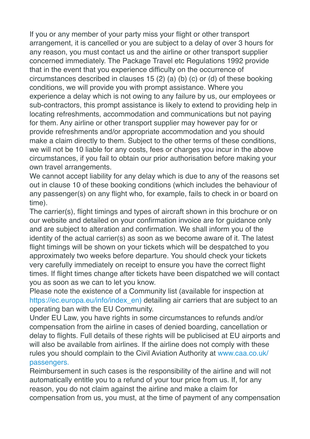If you or any member of your party miss your flight or other transport arrangement, it is cancelled or you are subject to a delay of over 3 hours for any reason, you must contact us and the airline or other transport supplier concerned immediately. The Package Travel etc Regulations 1992 provide that in the event that you experience difficulty on the occurrence of circumstances described in clauses 15 (2) (a) (b) (c) or (d) of these booking conditions, we will provide you with prompt assistance. Where you experience a delay which is not owing to any failure by us, our employees or sub-contractors, this prompt assistance is likely to extend to providing help in locating refreshments, accommodation and communications but not paying for them. Any airline or other transport supplier may however pay for or provide refreshments and/or appropriate accommodation and you should make a claim directly to them. Subject to the other terms of these conditions, we will not be 10 liable for any costs, fees or charges you incur in the above circumstances, if you fail to obtain our prior authorisation before making your own travel arrangements.

We cannot accept liability for any delay which is due to any of the reasons set out in clause 10 of these booking conditions (which includes the behaviour of any passenger(s) on any flight who, for example, fails to check in or board on time).

The carrier(s), flight timings and types of aircraft shown in this brochure or on our website and detailed on your confirmation invoice are for guidance only and are subject to alteration and confirmation. We shall inform you of the identity of the actual carrier(s) as soon as we become aware of it. The latest flight timings will be shown on your tickets which will be despatched to you approximately two weeks before departure. You should check your tickets very carefully immediately on receipt to ensure you have the correct flight times. If flight times change after tickets have been dispatched we will contact you as soon as we can to let you know.

Please note the existence of a Community list (available for inspection at [https://ec.europa.eu/info/index\\_en\)](https://ec.europa.eu/info/index_en) detailing air carriers that are subject to an operating ban with the EU Community.

Under EU Law, you have rights in some circumstances to refunds and/or compensation from the airline in cases of denied boarding, cancellation or delay to flights. Full details of these rights will be publicised at EU airports and will also be available from airlines. If the airline does not comply with these rules you should complain to the Civil Aviation Authority at [www.caa.co.uk/](https://www.caa.co.uk/passengers/) [passengers.](https://www.caa.co.uk/passengers/)

Reimbursement in such cases is the responsibility of the airline and will not automatically entitle you to a refund of your tour price from us. If, for any reason, you do not claim against the airline and make a claim for compensation from us, you must, at the time of payment of any compensation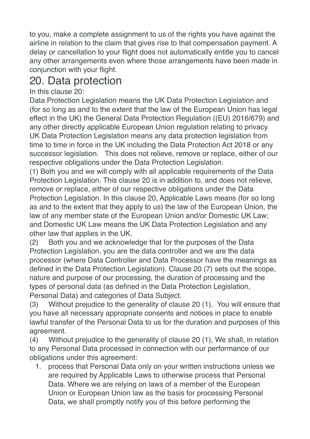to you, make a complete assignment to us of the rights you have against the airline in relation to the claim that gives rise to that compensation payment. A delay or cancellation to your flight does not automatically entitle you to cancel any other arrangements even where those arrangements have been made in conjunction with your flight.

#### 20. Data protection

#### In this clause 20:

Data Protection Legislation means the UK Data Protection Legislation and (for so long as and to the extent that the law of the European Union has legal effect in the UK) the General Data Protection Regulation ((EU) 2016/679) and any other directly applicable European Union regulation relating to privacy. UK Data Protection Legislation means any data protection legislation from time to time in force in the UK including the Data Protection Act 2018 or any successor legislation. This does not relieve, remove or replace, either of our respective obligations under the Data Protection Legislation.

(1) Both you and we will comply with all applicable requirements of the Data Protection Legislation. This clause 20 is in addition to, and does not relieve, remove or replace, either of our respective obligations under the Data Protection Legislation. In this clause 20, Applicable Laws means (for so long as and to the extent that they apply to us) the law of the European Union, the law of any member state of the European Union and/or Domestic UK Law; and Domestic UK Law means the UK Data Protection Legislation and any other law that applies in the UK.

(2) Both you and we acknowledge that for the purposes of the Data Protection Legislation, you are the data controller and we are the data processor (where Data Controller and Data Processor have the meanings as defined in the Data Protection Legislation). Clause 20 (7) sets out the scope, nature and purpose of our processing, the duration of processing and the types of personal data (as defined in the Data Protection Legislation, Personal Data) and categories of Data Subject.

(3) Without prejudice to the generality of clause 20 (1), You will ensure that you have all necessary appropriate consents and notices in place to enable lawful transfer of the Personal Data to us for the duration and purposes of this agreement.

(4) Without prejudice to the generality of clause 20 (1), We shall, in relation to any Personal Data processed in connection with our performance of our obligations under this agreement:

1. process that Personal Data only on your written instructions unless we are required by Applicable Laws to otherwise process that Personal Data. Where we are relying on laws of a member of the European Union or European Union law as the basis for processing Personal Data, we shall promptly notify you of this before performing the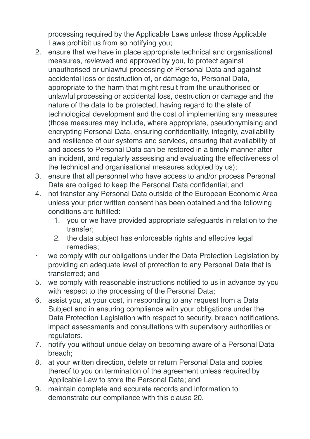processing required by the Applicable Laws unless those Applicable Laws prohibit us from so notifying you;

- 2. ensure that we have in place appropriate technical and organisational measures, reviewed and approved by you, to protect against unauthorised or unlawful processing of Personal Data and against accidental loss or destruction of, or damage to, Personal Data, appropriate to the harm that might result from the unauthorised or unlawful processing or accidental loss, destruction or damage and the nature of the data to be protected, having regard to the state of technological development and the cost of implementing any measures (those measures may include, where appropriate, pseudonymising and encrypting Personal Data, ensuring confidentiality, integrity, availability and resilience of our systems and services, ensuring that availability of and access to Personal Data can be restored in a timely manner after an incident, and regularly assessing and evaluating the effectiveness of the technical and organisational measures adopted by us);
- 3. ensure that all personnel who have access to and/or process Personal Data are obliged to keep the Personal Data confidential; and
- 4. not transfer any Personal Data outside of the European Economic Area unless your prior written consent has been obtained and the following conditions are fulfilled:
	- 1. you or we have provided appropriate safeguards in relation to the transfer;
	- 2. the data subject has enforceable rights and effective legal remedies;
- we comply with our obligations under the Data Protection Legislation by providing an adequate level of protection to any Personal Data that is transferred; and
- 5. we comply with reasonable instructions notified to us in advance by you with respect to the processing of the Personal Data;
- 6. assist you, at your cost, in responding to any request from a Data Subject and in ensuring compliance with your obligations under the Data Protection Legislation with respect to security, breach notifications, impact assessments and consultations with supervisory authorities or regulators.
- 7. notify you without undue delay on becoming aware of a Personal Data breach;
- 8. at your written direction, delete or return Personal Data and copies thereof to you on termination of the agreement unless required by Applicable Law to store the Personal Data; and
- 9. maintain complete and accurate records and information to demonstrate our compliance with this clause 20.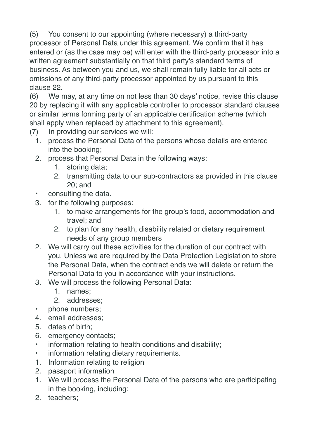(5) You consent to our appointing (where necessary) a third-party processor of Personal Data under this agreement. We confirm that it has entered or (as the case may be) will enter with the third-party processor into a written agreement substantially on that third party's standard terms of business. As between you and us, we shall remain fully liable for all acts or omissions of any third-party processor appointed by us pursuant to this clause 22.

(6) We may, at any time on not less than 30 days' notice, revise this clause 20 by replacing it with any applicable controller to processor standard clauses or similar terms forming party of an applicable certification scheme (which shall apply when replaced by attachment to this agreement).

- (7) In providing our services we will:
	- 1. process the Personal Data of the persons whose details are entered into the booking;
	- 2. process that Personal Data in the following ways:
		- 1. storing data;
		- 2. transmitting data to our sub-contractors as provided in this clause 20; and
	- consulting the data.
	- 3. for the following purposes:
		- 1. to make arrangements for the group's food, accommodation and travel; and
		- 2. to plan for any health, disability related or dietary requirement needs of any group members
	- 2. We will carry out these activities for the duration of our contract with you. Unless we are required by the Data Protection Legislation to store the Personal Data, when the contract ends we will delete or return the Personal Data to you in accordance with your instructions.
	- 3. We will process the following Personal Data:
		- 1. names;
		- 2. addresses;
	- phone numbers;
	- 4. email addresses;
	- 5. dates of birth;
	- 6. emergency contacts;
	- information relating to health conditions and disability;
	- information relating dietary requirements.
	- 1. Information relating to religion
	- 2. passport information
	- 1. We will process the Personal Data of the persons who are participating in the booking, including:
	- 2. teachers;